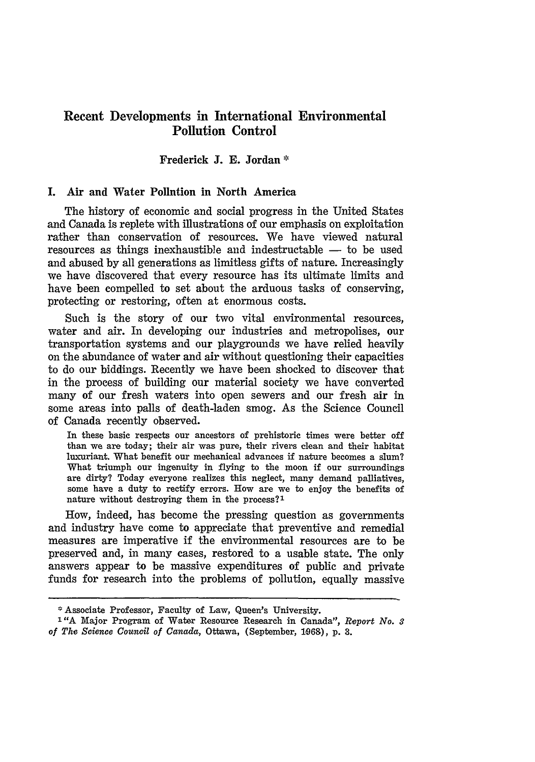# **Recent Developments in International Environmental Pollution Control**

# Frederick **J. E.** Jordan **\***

# **I.** Air and Water Pollntion in North America

The history of economic and social progress in the United States and Canada is replete with illustrations of our emphasis on exploitation rather than conservation of resources. We have viewed natural resources as things inexhaustible and indestructable  $-$  to be used and abused by all generations as limitless gifts of nature. Increasingly we have discovered that every resource has its ultimate limits and have been compelled to set about the arduous tasks of conserving, protecting or restoring, often at enormous costs.

Such is the story of our two vital environmental resources, water and air. In developing our industries and metropolises, our transportation systems and our playgrounds we have relied heavily on the abundance of water and air without questioning their capacities to do our biddings. Recently we have been shocked to discover that in the process of building our material society we have converted many of our fresh waters into open sewers and our fresh air in some areas into palls of death-laden smog. As the Science Council of Canada recently observed.

In these basic respects our ancestors of prehistoric times were better off than we are today; their air was pure, their rivers clean and their habitat luxuriant. What benefit our mechanical advances if nature becomes a slum? What triumph our ingenuity in flying to the moon if our surroundings are dirty? Today everyone realizes this neglect, many demand palliatives, some have a duty to rectify errors. How are we to enjoy the benefits of nature without destroying them in the process?'

How, indeed, has become the pressing question as governments and industry have come to appreciate that preventive and remedial measures are imperative if the environmental resources are to be preserved and, in many cases, restored to a usable state. The only answers appear to be massive expenditures of public and private funds for research into the problems of pollution, equally massive

<sup>\*</sup>Associate Professor, Faculty of Law, Queen's University.

<sup>1&</sup>quot;A Major Program of Water Resource Research in Canada", *Report No. 3 of The Science Council of Canada,* Ottawa, (September, 1068), p. **3.**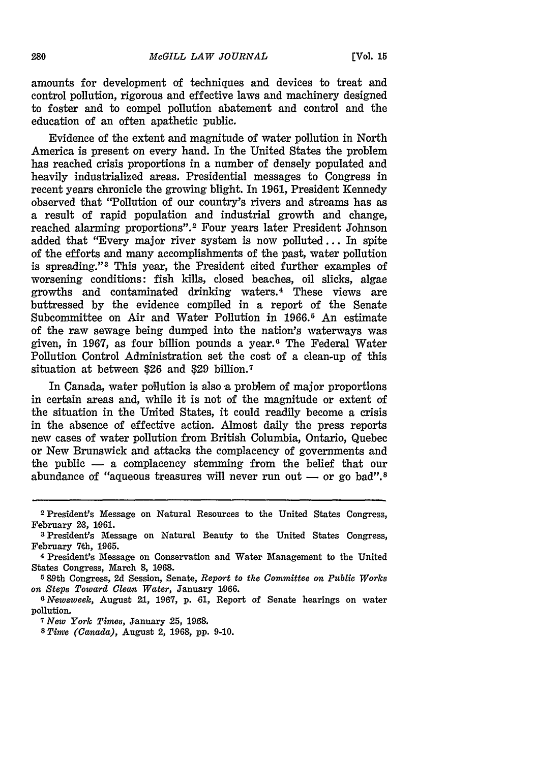amounts for development of techniques and devices to treat and control pollution, rigorous and effective laws and machinery designed to foster and to compel pollution abatement and control and the education of an often apathetic public.

Evidence of the extent and magnitude of water pollution in North America is present on every hand. In the United States the problem has reached crisis proportions in a number of densely populated and heavily industrialized areas. Presidential messages to Congress in recent years chronicle the growing blight. In **1961,** President Kennedy observed that "Pollution of our country's rivers and streams has as a result of rapid population and industrial growth and change, reached alarming proportions".<sup>2</sup> Four years later President Johnson added that "Every major river system is now polluted... In spite of the efforts and many accomplishments of the past, water pollution is spreading."<sup>3</sup> This year, the President cited further examples of worsening conditions: fish kills, closed beaches, oil slicks, algae growths and contaminated drinking waters. 4 These views are buttressed **by** the evidence compiled in a report of the Senate Subcommittee on Air and Water Pollution in 1966.<sup>5</sup> An estimate of the raw sewage being dumped into the nation's waterways was given, in 1967, as four billion pounds a year.<sup>6</sup> The Federal Water Pollution Control Administration set the cost of a clean-up of this situation at between **\$26** and \$29 billion. <sup>7</sup>

In Canada, water pollution is also a problem of major proportions in certain areas and, while it is not of the magnitude or extent of the situation in the United States, it could readily become a crisis in the absence of effective action. Almost daily the press reports new cases of water pollution from British Columbia, Ontario, Quebec or New Brunswick and attacks the complacency of governments and the public  $-$  a complacency stemming from the belief that our abundance of "aqueous treasures will never run out - or go bad".<sup>8</sup>

*7New York Times,* January 25, 1968.

**<sup>2</sup>**President's Message on Natural Resources to the United States Congress, February 23, 1961.

**<sup>3</sup>** President's Message on Natural Beauty to the United States Congress, February W7th, **1965.**

<sup>4</sup> President's Message on Conservation and Water Management to the United States Congress, March **8, 1968.**

**<sup>5</sup>** 89th Congress, 2d Session, Senate, *Report to the Committee on Public Works on Steps Toward Clean Water,* January **1066.**

*ONewsweek,* August 21, 1967, **p. 61,** Report of Senate hearings on water pollution.

*<sup>8</sup> Time (Canada),* August 2, 1968, **pp.** 9-10.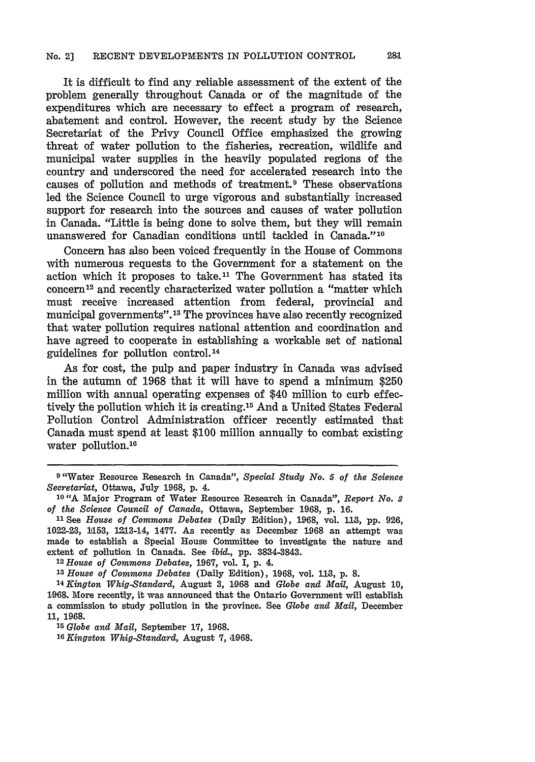It is difficult to find any reliable assessment of the extent of the problem generally throughout Canada or of the magnitude of the expenditures which are necessary to effect a program of research, abatement and control. However, the recent study by the Science Secretariat of the Privy Council Office emphasized the growing threat of water pollution to the fisheries, recreation, wildlife and municipal water supplies in the heavily populated regions of the country and underscored the need for accelerated research into the causes of pollution and methods of treatment. 9 These observations led the Science Council to urge vigorous and substantially increased support for research into the sources and causes of water pollution in Canada. "Little is being done to solve them, but they will remain unanswered for Canadian conditions until tackled in Canada."'10

Concern has also been voiced frequently in the House of Commons with numerous requests to the Government for a statement on the action which it proposes to take.<sup>11</sup> The Government has stated its concern 12 and recently characterized water pollution a "matter which must receive increased attention from federal, provincial and municipal governments".<sup>13</sup> The provinces have also recently recognized that water pollution requires national attention and coordination and have agreed to cooperate in establishing a workable set of national guidelines for pollution control.1<sup>4</sup>

As for cost, the pulp and paper industry in Canada was advised in the autumn of 1968 that it will have to spend a minimum \$250 million with annual operating expenses of \$40 million to curb effectively the pollution which it is creating.15 And a United States Federal Pollution Control Administration officer recently estimated that Canada must spend at least \$100 million annually to combat existing water pollution.16

<sup>9</sup> "Water Resource Research in Canada", *Special Study No. 5 of the Science Secretariat,* Ottawa, July **1968,** p. 4.

**<sup>10 &</sup>quot;A** Major Program of Water Resource Research in Canada", *Report No. 8 of the Science Council of Canada,* Ottawa, September 1968, p. **16.**

*<sup>11</sup>*See *House of Commons Debates* (Daily Edition), 1968, vol. 113, pp. 926, 1022-23, 1153, 1213-14, 1477. As recently as December 1968 an attempt was made to establish a Special House Committee to investigate the nature and extent of pollution in Canada. See *ibid.,* pp. 3834-3843.

<sup>12</sup>*House of Commons Debates,* 1967, vol. **I,** p. 4.

*<sup>13</sup>House of Commons Debates* (Daily Edition), **1968,** vol. **.13,** p. **8.**

<sup>&</sup>lt;sup>14</sup> Kington Whig-Standard, August 3, 1968 and *Globe and Mail*, August 10, 1968. More recently, it was announced that the Ontario Government will establish a commission to study pollution in the province. See *Globe and Mail,* December 11, 1968.

*<sup>15</sup> Globe and Mail,* September **17,** 1968.

*<sup>16</sup> Kingston Whig-Standard,* August **7, ,1968.**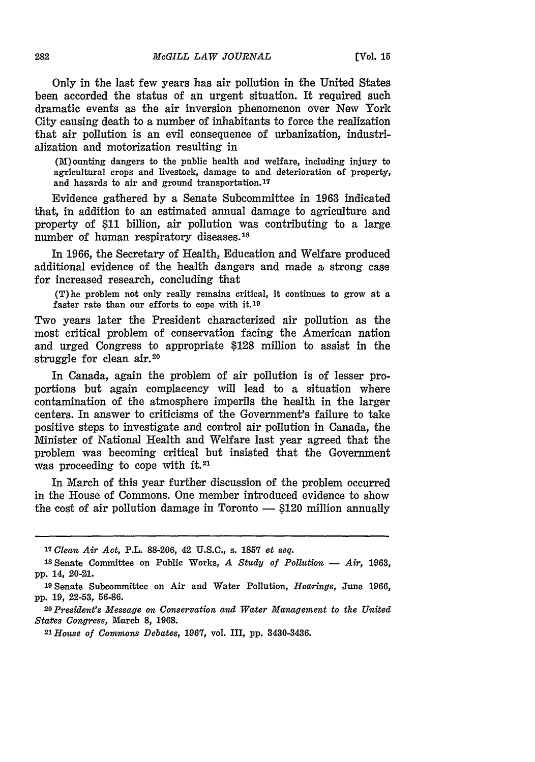Only in the last few years has air pollution in the United States been accorded the status of an urgent situation. It required such dramatic events as the air inversion phenomenon over New York City causing death to a number of inhabitants to force the realization that air pollution is an evil consequence of urbanization, industrialization and motorization resulting in

(M) ounting dangers to the public health and welfare, including injury to agricultural crops and livestock, damage to and deterioration of property, and hazards to air and ground transportation.<sup>17</sup>

Evidence gathered by a Senate Subcommittee in 1963 indicated that, in addition to an estimated annual damage to agriculture and property of \$11 billion, air pollution was contributing to a large number of human respiratory diseases.<sup>18</sup>

In 1966, the Secretary of Health, Education and Welfare produced additional evidence of the health dangers and made a, strong case for increased research, concluding that

(T)he problem not only really remains critical, it continues to grow at a faster rate than our efforts to cope with it.<sup>19</sup>

Two years later the President characterized air pollution as the most critical problem of conservation facing the American nation and urged Congress to appropriate \$128 million to assist in the struggle for clean air.<sup>20</sup>

In Canada, again the problem of air pollution is of lesser proportions but again complacency will lead to a situation where contamination of the atmosphere imperils the health in the larger centers. In answer to criticisms of the Government's failure to take positive steps to investigate and control air pollution in Canada, the Minister of National Health and Welfare last year agreed that the problem was becoming critical but insisted that the Government was proceeding to cope with it.<sup>21</sup>

In March of this year further discussion of the problem occurred in the House of Commons. One member introduced evidence to show the cost of air pollution damage in Toronto  $-$  \$120 million annually

*<sup>1</sup> <sup>7</sup>Clean Air Act,* P.L. 88-206, 42 U.S.C., s. 1857 *et seq.*

**Is** Senate Committee on Public Works, *A Study of Pollution* **-** *Air,* **1963,** pp. 14, 20-21.

**<sup>10</sup>**Senate Subcommittee on Air and Water Pollution, *Hearings,* June 1966, pp. 19, 22-53, **56-86.**

*<sup>20</sup> President's Message on Conservation and Water Management to the United States Congress,* March **8,** 1968.

<sup>21</sup>*House of Commons Debates,* 1967, vol. III, **pp.** 3430-3436.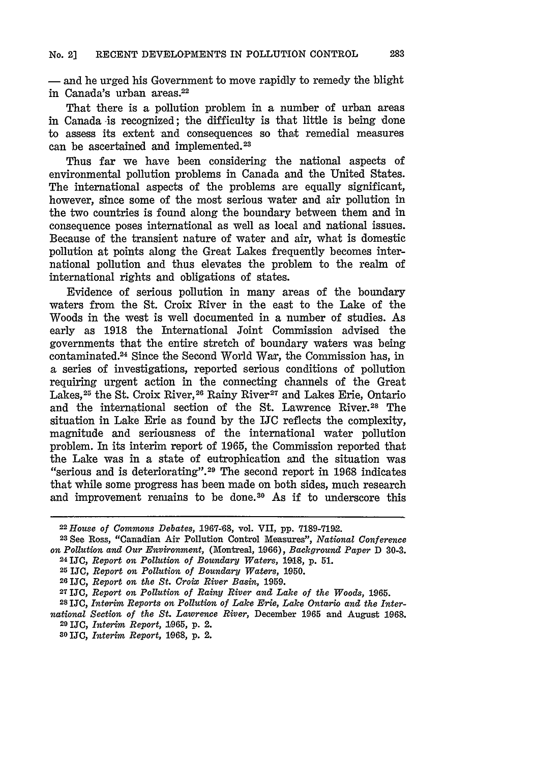- and he urged his Government to move rapidly to remedy the blight in Canada's urban areas.<sup>22</sup>

That there is a pollution problem in a number of urban areas in Canada is recognized; the difficulty is that little is being done to assess its extent and consequences so that remedial measures can be ascertained and implemented. <sup>23</sup>

Thus far we have been considering the national aspects of environmental pollution problems in Canada and the United States. The international aspects of the problems are equally significant, however, since some of the most serious water and air pollution in the two countries is found along the boundary between them and in consequence poses international as well as local and national issues. Because of the transient nature of water and air, what is domestic pollution at points along the Great Lakes frequently becomes international pollution and thus elevates the problem to the realm of international rights and obligations of states.

Evidence of serious pollution in many areas of the boundary waters from the St. Croix River in the east to the Lake of the Woods in the west is well documented in a number of studies. As early as **1918** the International Joint Commission advised the governments that the entire stretch of boundary waters was being contaminated. 24 Since the Second World War, the Commission has, in a series of investigations, reported serious conditions of pollution requiring urgent action in the connecting channels of the Great Lakes,<sup>25</sup> the St. Croix River,<sup>26</sup> Rainy River<sup>27</sup> and Lakes Erie, Ontario and the international section of the St. Lawrence River.<sup>28</sup> The situation in Lake Erie as found **by** the IJC reflects the complexity, magnitude and seriousness of the international water pollution problem. In its interim report of **1965,** the Commission reported that the Lake was in a state of eutrophication and the situation was "serious and is deteriorating". 29 The second report in **1968** indicates that while some progress has been made on both sides, much research and improvement remains to be **done.30** As if to underscore this

*<sup>22</sup> House of Commons Debates,* 1967-68, vol. VII, **pp.** 7189-7192.

**<sup>23</sup>**See Ross, "Canadian Air Pollution Control Measures", *National Conference on Pollution and Our Environment,* (Montreal, 1066), *Background Paper* D **30-3.** 24 IJC, *Report on Pollution of Boundary Waters,* **1,918,** p. **51.**

**<sup>25</sup>**IJC, *Report on Pollution of Boundary Waters,* 1050.

<sup>26</sup>**IJC,** *Report on the St. Croix River Basin,* **1959.**

**<sup>271</sup>**IJC, *Report on Pollution of Rainy River and Lake of the Woods,* **1965.**

**<sup>28</sup> IJC,** *Interim Reports on Pollution of Lake Erie, Lake Ontario and the Inter-*

*national Section of the St. Lawrence River,* December **1,965** and August 1968. **<sup>29</sup>**IJC, *Interim Report,* **1965,** p. 2.

SO **IJC,** *Interim Report,* **1968,** p. 2.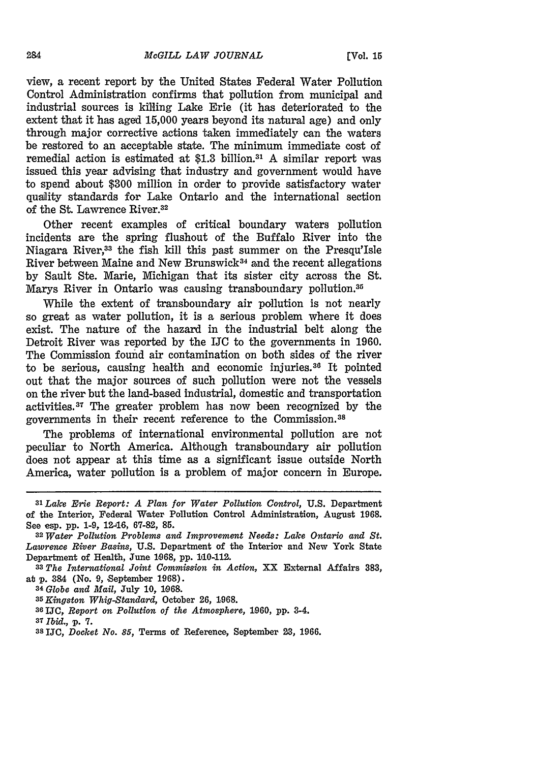view, a recent report **by** the United States Federal Water Pollution Control Administration confirms that pollution from municipal and industrial sources is killing Lake Erie (it has deteriorated to the extent that it has aged **15,000** years beyond its natural age) and only through major corrective actions taken immediately can the waters be restored to an acceptable state. The minimum immediate cost of remedial action is estimated at \$1.3 billion.<sup>31</sup> A similar report was issued this year advising that industry and government would have to spend about **\$300** million in order to provide satisfactory water quality standards for Lake Ontario and the international section of the St. Lawrence River.32

Other recent examples of critical boundary waters pollution incidents **are** the spring flushout of the Buffalo River into the Niagara River,<sup>33</sup> the fish kill this past summer on the Presqu'Isle River between Maine and New Brunswick<sup>34</sup> and the recent allegations **by** Sault Ste. Marie, Michigan that its sister city across the St. Marys River in Ontario was causing transboundary pollution. <sup>3</sup> 5

While the extent of transboundary air pollution is not nearly so great as water pollution, it is a serious problem where it does exist. The nature of the hazard in the industrial belt along the Detroit River was reported **by** the IC to the governments in **1960.** The Commission found air contamination on both sides of the river to be serious, causing health and economic injuries. 36 It pointed out that the major sources of such pollution were not the vessels on the river but the land-based industrial, domestic and transportation activities. 37 The greater problem has now been recognized **by** the governments in their recent reference to the Commission.3 <sup>8</sup>

The problems of international environmental pollution are not peculiar to North America. Although transboundary air pollution does not appear at this time as a significant issue outside North America, water pollution is a problem of major concern in Europe.

*Lawrence River Basins,* U.S. Department of the Interior and New York State Department **of** Health, June **1068, pp. 1110-112.**

- 
- **<sup>34</sup>***Globe and Mail,* July **10,** 1968. *35Kingston Whig-Standard,* October 26, **1968.**
- **36 IJC,** *Report on Pollution of the Atmosphere,* 1960, **pp.** 3-4.
- *<sup>37</sup>Ibid.,* **p. 7.**
- **38** IJC, *Docket No. 85,* Terms of Reference, September **23, 1966.**

*<sup>3</sup> <sup>1</sup>Lake Erie Report: A Plan for Water Pollution Control,* **U.S.** Department of the Interior, Federal Water Pollution Control Administration, August 1968. See esp. **pp. 1-9,** 12146, **67-82, 85.** *<sup>32</sup>Water Pollution Problems and Improvement Needs: Lake Ontario and St.*

**<sup>33</sup>***The International Joint Commission in Action,* XX External Affairs **383,** at p. **384** (No. **9,** September 1968).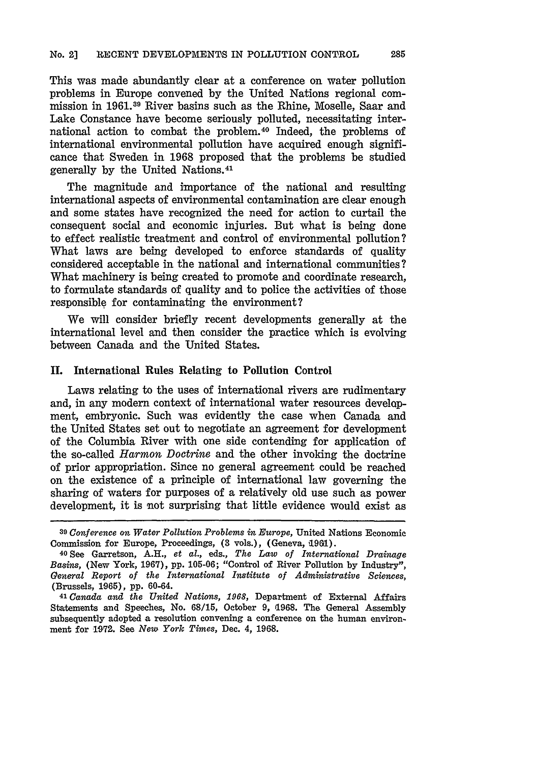This was made abundantly clear at a conference on water pollution problems in Europe convened by the United Nations regional commission in 1961.39 River basins such as the Rhine, Moselle, Saar and Lake Constance have become seriously polluted, necessitating international action to combat the problem. 40 Indeed, the problems of international environmental pollution have acquired enough significance that Sweden in 1968 proposed that the problems be studied generally by the United Nations.<sup>41</sup>

The magnitude and importance of the national and resulting international aspects of environmental contamination are clear enough and some states have recognized the need for action to curtail the consequent social and economic injuries. But what is being done to effect realistic treatment and control of environmental pollution? What laws are being developed to enforce standards of quality considered acceptable in the national and international communities? What machinery is being created to promote and coordinate research, to formulate standards of quality and to police the activities of those responsible for contaminating the environment?

We will consider briefly recent developments generally at the international level and then consider the practice which is evolving between Canada and the United States.

#### **II.** International Rules Relating to Pollution Control

Laws relating to the uses of international rivers are rudimentary and, in any modern context of international water resources development, embryonic. Such was evidently the case when Canada and the United States set out to negotiate an agreement for development of the Columbia River with one side contending for application of the so-called *Harmon Doctrine* and the other invoking the doctrine of prior appropriation. Since no general agreement could be reached on the existence of a principle of international law governing the sharing of waters for purposes of a relatively old use such as power development, it is not surprising that little evidence would exist as

*<sup>39</sup>Conference on Water Pollution Problems in Europe,* United Nations Economic Commission for Europe, Proceedings, **(3** vols.), (Geneva, 1901).

<sup>40</sup> See Garretson, A.H., *et al.,* eds., *The Law of International Drainage Basins,* (New York, 1967), **pp.** 105-06; "Control of River Pollution by Industry", *General Report of the International Institute of Administrative Sciences,* (Brussels, 1965), **pp.** 60-64.

*<sup>41</sup>Canada and the United Nations, 1968,* Department of External Affairs Statements and Speeches, No. 68/15, October 9, i1968. The General Assembly subsequently adopted a resolution convening a conference on the human environment for 1972. See *New York Times,* Dec. 4, 1968.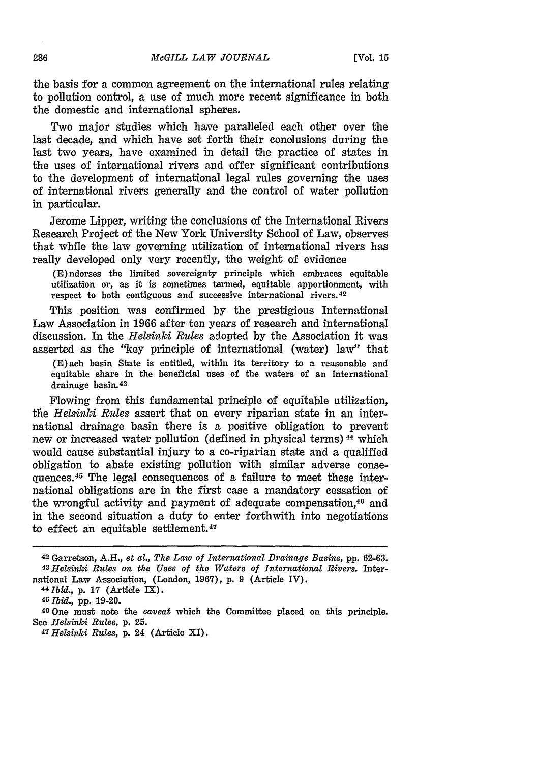the basis for a common agreement on the international rules relating to pollution control, a use of much more recent significance in both the domestic and international spheres.

Two major studies which have paralleled each other over the last decade, and which have set forth their conclusions during the last two years, have examined in detail the practice of states in the uses of international rivers and offer significant contributions to the development of international legal rules governing the uses of international rivers generally and the control of water pollution in particular.

Jerome Lipper, writing the conclusions of the International Rivers Research Project of the New York University School of Law, observes that while the law governing utilization of international rivers has really developed only very recently, the weight of evidence

(E)ndorses the limited sovereignty principle which embraces equitable utilization or, as it is sometimes termed, equitable apportionment, with respect to both contiguous and successive international rivers. <sup>42</sup>

This position was confirmed by the prestigious International Law Association in 1966 after ten years of research and international discussion. In the *Helsinki Rules* adopted by the Association it was asserted as the "key principle of international (water) law" that

(E),ach basin State is entitled, within its territory to a reasonable and equitable share in the beneficial uses of the waters of an international drainage basin.<sup>43</sup>

Flowing from this fundamental principle of equitable utilization, the *Helsinki Rules* assert that on every riparian state in an international drainage basin there is a positive obligation to prevent new or increased water pollution (defined in physical terms) **44** which would cause substantial injury to a co-riparian state and a qualified obligation to abate existing pollution with similar adverse consequences. 45 The legal consequences of a failure to meet these international obligations are in the first case a mandatory cessation of the wrongful activity and payment of adequate compensation. $46$  and in the second situation a duty to enter forthwith into negotiations to effect an equitable settlement.<sup>47</sup>

**<sup>42</sup>**Garretson, A.H., *et al., The Law of International Drainage Basins,* pp. 62-63. *<sup>43</sup> Helsinki Rules on the Uses of the Waters of International Rivers.* International Law Association, (London, 1967), p. 9 (Article IV).

*<sup>441</sup>bid.,* p. 17 (Article IX).

**<sup>45</sup>***Ibid.,* pp. 19-20.

<sup>46</sup> One must note the *caveat* which the Committee placed on this principle. See *Helsinki Rules,* **p. 25.** *<sup>47</sup> Helsinki Rules,* p. 24 (Article XI).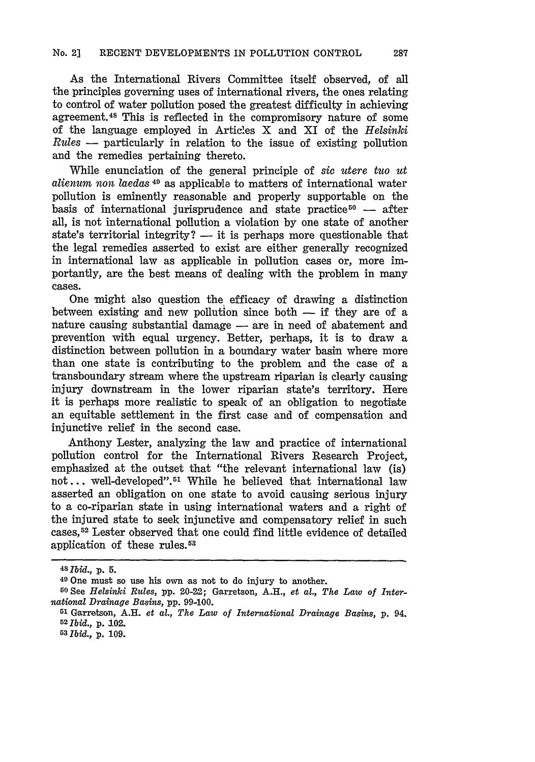As the International Rivers Committee itself observed, of all the principles governing uses of international rivers, the ones relating to control of water pollution posed the greatest difficulty in achieving agreement. 48 This is reflected in the compromisory nature of some of the language employed in Articles X and XI of the *Helsinki Rules* **-** particularly in relation to the issue of existing pollution and the remedies pertaining thereto.

While enunciation of the general principle of *sic utere tuo ut alienum non laedas49* as applicable to matters of international water pollution is eminently reasonable and properly supportable on the basis of international jurisprudence and state practice<sup>50</sup>  $-$  after all, is not international pollution a violation by one state of another state's territorial integrity?  $-$  it is perhaps more questionable that the legal remedies asserted to exist are either generally recognized in international law as applicable in pollution cases or, more importantly, are the best means of dealing with the problem in many cases.

One might also question the efficacy of drawing a distinction between existing and new pollution since both  $-$  if they are of a nature causing substantial damage - are in need of abatement and prevention with equal urgency. Better, perhaps, it is to draw a distinction between pollution in a boundary water basin where more than one state is contributing to the problem and the case of a transboundary stream where the upstream riparian is clearly causing injury downstream in the lower riparian state's territory. Here it is perhaps more realistic to speak of an obligation to negotiate an equitable settlement in the first case and of compensation and injunctive relief in the second case.

Anthony Lester, analyzing the law and practice of international pollution control for the International Rivers Research Project, emphasized at the outset that "the relevant international law (is) not... well-developed".<sup>51</sup> While he believed that international law asserted an obligation on one state to avoid causing serious injury to a co-riparian state in using international waters and a right of the injured state to seek injunctive and compensatory relief in such cases,52 Lester observed that one could find little evidence of detailed application of these rules.<sup>53</sup>

*<sup>48</sup>Ibid., p. 5.*

**<sup>490</sup>**One must so use his own as not to do injury to another.

**<sup>60</sup>** See *Helsinki Rules,* pp. 20-22; Garretson, A.H., *et al., The Law of International Drainage Basins,* pp. 99-100.

**<sup>53</sup>**Garretson, A.H. *et al., The Law of International Drainage Basins, p. 94.* <sup>52</sup>*Ibid.,* **p.** 102.

*<sup>53</sup> Ibid., p.* **109.**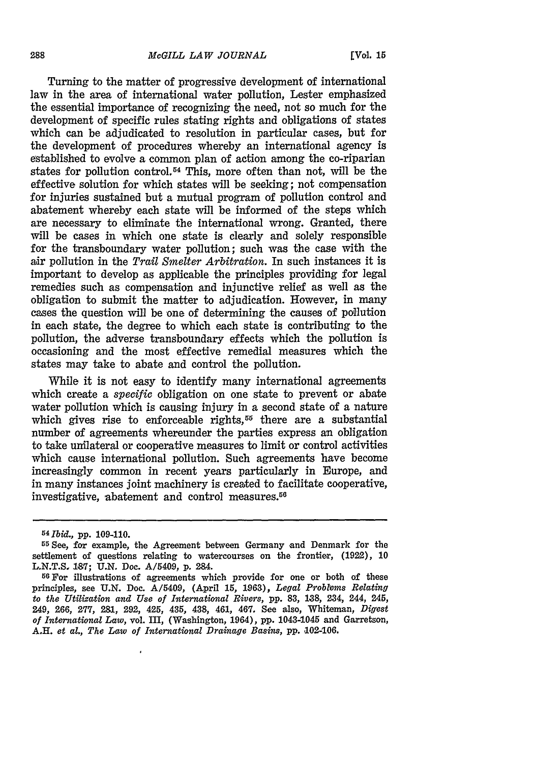Turning to the matter of progressive development of international law in the area of international water pollution, Lester emphasized the essential importance of recognizing the need, not so much for the development of specific rules stating rights and obligations of states which can be adjudicated to resolution in particular cases, but for the development of procedures whereby an international agency is established to evolve a common plan of action among the co-riparian states for pollution control.<sup>54</sup> This, more often than not, will be the effective solution for which states will be seeking; not compensation for injuries sustained but a mutual program of pollution control and abatement whereby each state will be informed of the steps which are necessary to eliminate the international wrong. Granted, there will be cases in which one state is clearly and solely responsible for the transboundary water pollution; such was the case with the air pollution in the *Trail Smelter Arbitration.* In such instances it is important to develop as applicable the principles providing for legal remedies such as compensation and injunctive relief as well as the obligation to submit the matter to adjudication. However, in many cases the question will be one of determining the causes of pollution in each state, the degree to which each state is contributing to the pollution, the adverse transboundary effects which the pollution is occasioning and the most effective remedial measures which the states may take to abate and control the pollution.

While it is not easy to identify many international agreements which create a *specific* obligation on one state to prevent or abate water pollution which is causing injury in a second state of a nature which gives rise to enforceable rights,  $55$  there are a substantial number of agreements whereunder the parties express an obligation to take unilateral or cooperative measures to limit or control activities which cause international pollution. Such agreements have become increasingly common in recent years particularly in Europe, and in many instances joint machinery is created to facilitate cooperative, investigative, abatement and control measures.<sup>56</sup>

*<sup>54</sup> Ibid.,* pp. **109-110.**

<sup>55</sup> See, for example, the Agreement between Germany and Denmark for the settlement of questions relating to watercourses on the frontier, (1922), 10 **L.N.T.S. 187;** U.N. Doc. A/5409, p. 284.

**<sup>56</sup> For** illustrations **of** agreements which provide for one or both of these principles, see U.N. Doc. A/5409, (April 15, **1963),** *Legal Problms Relating to the Utilization and Use of International Rivers,* **pp. 83, 138,** 234, 244, 245, 249, 266, **277,** 281, 292, 425, 435, 438, 461, 467. See also, Whiteman, *Digest of International Law,* vol. III, (Washington, 1964), **pp.** 1043-1045 and Garretson, **A.H.** *et al., The Law of International Drainage Basins,* pp. **.102-106.**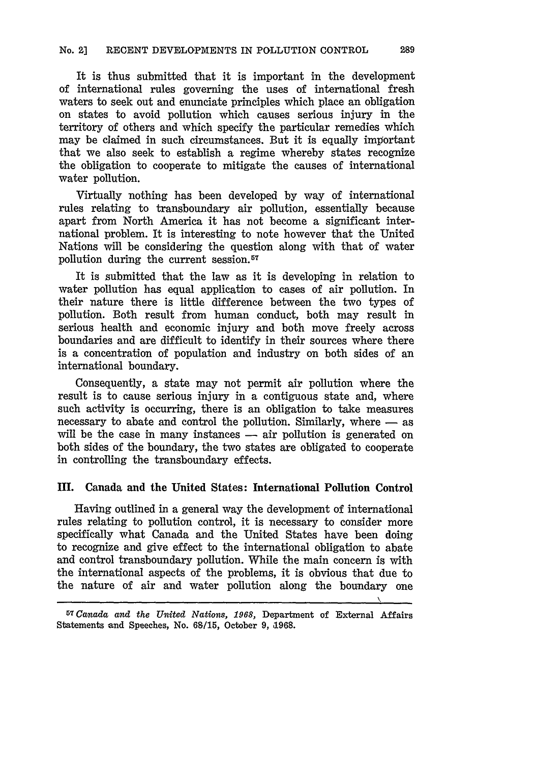It is thus submitted that it is important in the development of international rules governing the uses of international fresh waters to seek out and enunciate principles which place an obligation on states to avoid pollution which causes serious injury in the territory of others and which specify the particular remedies which may be claimed in such circumstances. But it is equally important that we also seek to establish a regime whereby states recognize the obligation to cooperate to mitigate the causes of international water pollution.

Virtually nothing has been developed **by** way of international rules relating to transboundary air pollution, essentially because apart from North America it has not become a significant international problem. It is interesting to note however that the United Nations will be considering the question along with that of water pollution during the current session. <sup>57</sup>

It is submitted that the law as it is developing in relation to water pollution has equal application to cases of air pollution. In their nature there is little difference between the two types of pollution. Both result from human conduct, both may result in serious health and economic injury and both move freely across boundaries and are difficult to identify in their sources where there is a concentration of population and industry on both sides of an international boundary.

Consequently, a state may not permit air pollution where the result is to cause serious injury in a contiguous state and, where such activity is occurring, there is an obligation to take measures necessary to abate and control the pollution. Similarly, where  $-$  as will be the case in many instances  $-$  air pollution is generated on both sides of the boundary, the two states are obligated to cooperate in controlling the transboundary effects.

# **III.** Canada and the United States: International Pollution Control

Having outlined in a general way the development of international rules relating to pollution control, it is necessary to consider more specifically what Canada and the United States have been doing to recognize and give effect to the international obligation to abate and control transboundary pollution. While the main concern is with the international aspects of the problems, it is obvious that due to the nature of air and water pollution along the boundary one

*<sup>5</sup> 7 Canada and the United Nations,* **1968,** Department of External Affairs Statements and Speeches, No. 68/15, October 9, **1968.**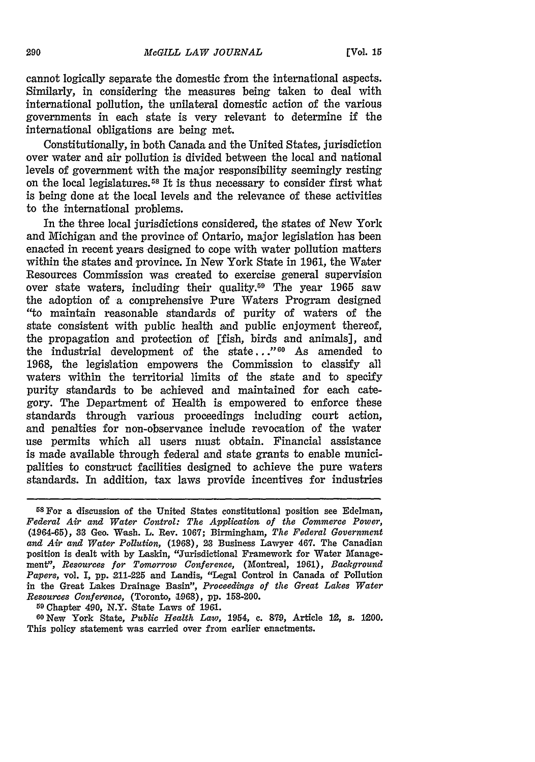cannot logically separate the domestic from the international aspects. Similarly, in considering the measures being taken to deal with international pollution, the unilateral domestic action of the various governments in each state is very relevant to determine if the international obligations are being met.

Constitutionally, in both Canada and the United States, jurisdiction over water and air pollution is divided between the local and national levels of government with the major responsibility seemingly resting on the local legislatures.58 It is thus necessary to consider first what is being done at the local levels and the relevance of these activities to the international problems.

In the three local jurisdictions considered, the states of New York and Michigan and the province of Ontario, major legislation has been enacted in recent years designed to cope with water pollution matters within the states and province. In New York State in 1961, the Water Resources Commission was created to exercise general supervision over state waters, including their quality.59 The year 1965 saw the adoption of a comprehensive Pure Waters Program designed "to maintain reasonable standards of purity of waters of the state consistent with public health and public enjoyment thereof, the propagation and protection of [fish, birds and animals], and the industrial development of the state..." 60 As amended to 1968, the legislation empowers the Commission to classify all waters within the territorial limits of the state and to specify purity standards to be achieved and maintained for each category. The Department of Health is empowered to enforce these standards through various proceedings including court action, and penalties for non-observance include revocation of the water use permits which all users must obtain. Financial assistance is made available through federal and state grants to enable municipalities to construct facilities designed to achieve the pure waters standards. In addition, tax laws provide incentives for industries

**59** Chapter 490, N.Y. State Laws of 1961.

**6O** New York State, *Public Health Law,* 1954, **c. 879,** Article 12, s. 1200. This policy statement was carried over from earlier enactments.

**<sup>58</sup> For** a discussion of the United States constitutional position see Edelman, *Federal Air and Water Control: The Application of the Commerce Power,* (1-964-65), **33** Geo. Wash. L. Rev. 1067; Birmingham, *The Federal Government and Air and Water Pollution,* (1968), **23** Business Lawyer 467. The Canadian position is dealt with by Laskin, "Jurisdictional Framework for Water Management", *Resources for Tomorrow Conference,* (Montreal, 1961), *Background Papers,* vol. I, pp. 211-225 and Landis, "Legal Control in Canada of Pollution in the Great Lakes Drainage Basin", *Proceedings of the Great Lakes Water Resources Conference,* (Toronto, **1968),** pp. 158-200.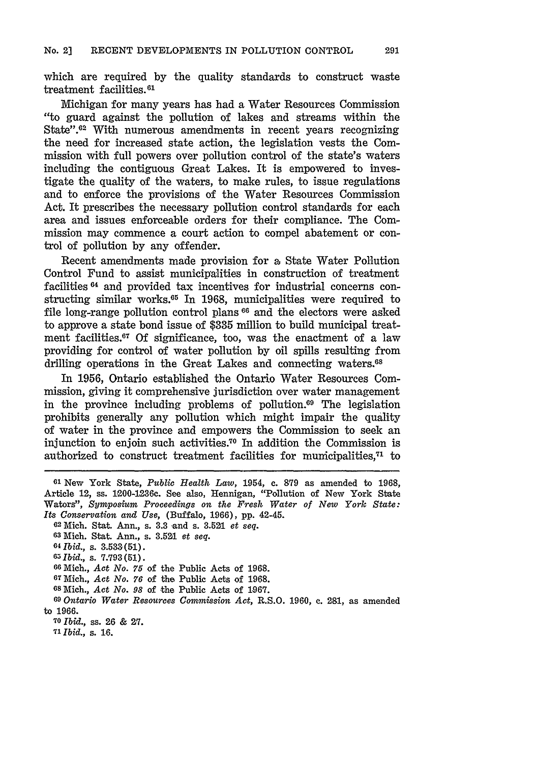which are required by the quality standards to construct waste treatment facilities. <sup>61</sup>

Michigan for many years has had a Water Resources Commission "to guard against the pollution of lakes and streams within the State".<sup>62</sup> With numerous amendments in recent years recognizing the need for increased state action, the legislation vests the Commission with full powers over pollution control of the state's waters including the contiguous Great Lakes. It is empowered to investigate the quality of the waters, to make rules, to issue regulations and to enforce the provisions of the Water Resources Commission Act. It prescribes the necessary pollution control standards for each area and issues enforceable orders for their compliance. The Commission may commence a court action to compel abatement or control of pollution by any offender.

Recent amendments made provision for a State Water Pollution Control Fund to assist municipalities in construction of treatment facilities <sup>64</sup> and provided tax incentives for industrial concerns constructing similar works.65 In 1968, municipalities were required to file long-range pollution control plans **66** and the electors were asked to approve a state bond issue of \$335 million to build municipal treatment facilities.<sup>67</sup> Of significance, too, was the enactment of a law providing for control of water pollution by oil spills resulting from drilling operations in the Great Lakes and connecting waters.<sup>68</sup>

In 1956, Ontario established the Ontario Water Resources Commission, giving it comprehensive jurisdiction over water management in the province including problems of pollution.<sup>69</sup> The legislation prohibits generally any pollution which might impair the quality of water in the province and empowers the Commission to seek an injunction to enjoin such activities.70 In addition the Commission is authorized to construct treatment facilities for municipalities,<sup>71</sup> to

**<sup>61</sup>**New York State, *Public Health Law,* 1954, c. 879 as amended to 1968, Article 12, ss. 1200-1236c. See also, Hennigan, "Pollution of New York State Waters", *Symposium Proceedings on the Fresh Water of New York State: Its Conservation and Use,* (Buffalo, 1966), pp. 42-45. **<sup>62</sup>**Mich. Stat. Ann., s. **3.3** 'and s. 3.521 *et seq.* **<sup>63</sup>**Mich. Stat. Ann., s. 3.521 *et seq. 64Ibid.,* s. a.533(51). *65Ibid.,* s. 7.793(51). 66 Mich., *Act No. 75* of the Public Acts of 1968. **<sup>67</sup>**Mich., *Act No. 76* of the Public Acts of **1968. 68** Mich., *Act No. 98* of the Public Acts of 1967. **<sup>60</sup>***Ontario Water Resources Commission Act,* R.S.O. 1960, c. **281,** as amended to **1966.** *<sup>70</sup>Ibid.,* ss. 26 & **27.** *71 Ibid.,* s. 16.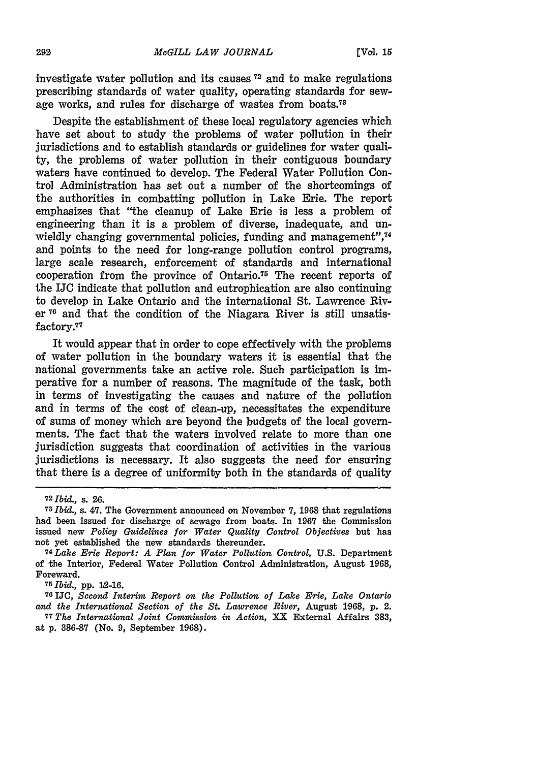investigate water pollution and its causes **72** and to make regulations prescribing standards of water quality, operating standards for sewage works, and rules for discharge of wastes from boats.73

Despite the establishment of these local regulatory agencies which have set about to study the problems of water pollution in their jurisdictions and to establish standards or guidelines for water quality, the problems of water pollution in their contiguous boundary waters have continued to develop. The Federal Water Pollution Control Administration has set out a number of the shortcomings of the authorities in combatting pollution in Lake Erie. The report emphasizes that "the cleanup of Lake Erie is less a problem of engineering than it is a problem of diverse, inadequate, and unwieldly changing governmental policies, funding and management",<sup>74</sup> and points to the need for long-range pollution control programs, large scale research, enforcement of standards and international cooperation from the province of Ontario.<sup>75</sup> The recent reports of the IJC indicate that pollution and eutrophication are also continuing to develop in Lake Ontario and the international St. Lawrence River<sup>76</sup> and that the condition of the Niagara River is still unsatisfactory.<sup>77</sup>

It would appear that in order to cope effectively with the problems of water pollution in the boundary waters it is essential that the national governments take an active role. Such participation is imperative for a number of reasons. The magnitude of the task, both in terms of investigating the causes and nature of the pollution and in terms of the cost of clean-up, necessitates the expenditure of sums of money which are beyond the budgets of the local governments. The fact that the waters involved relate to more than one jurisdiction suggests that coordination of activities in the various jurisdictions is necessary. It also suggests the need for ensuring that there is a degree of uniformity both in the standards of quality

**76 IJC,** *Second Interim Report on the Pollution of Lake Erie, Lake Ontario and the International Section of the St. Lawrence River,* August **1968, p.** 2. *<sup>77</sup>The International Joint Commission in Action,* XX External Affairs **383,**

at **p. 386-87** (No. 9, September 1968).

**<sup>72</sup>***Ibid.,* s. 26.

*<sup>73</sup>Ibid.,* s. 47. The Government announced on November **7, 1968** that regulations had been issued for discharge of sewage from boats. In **1967** the Commission issued new *Policy Guidelines for Water Quality Control Objectives* but has not yet established the new standards thereunder.

*<sup>74</sup> Lake Erie Report: A Plan for Water Pollution Control,* **U.S.** Department of the Interior, Federal Water Pollution Control Administration, August 1968, Foreward.

*<sup>75</sup> Ibid.,* **pp. 12-16.**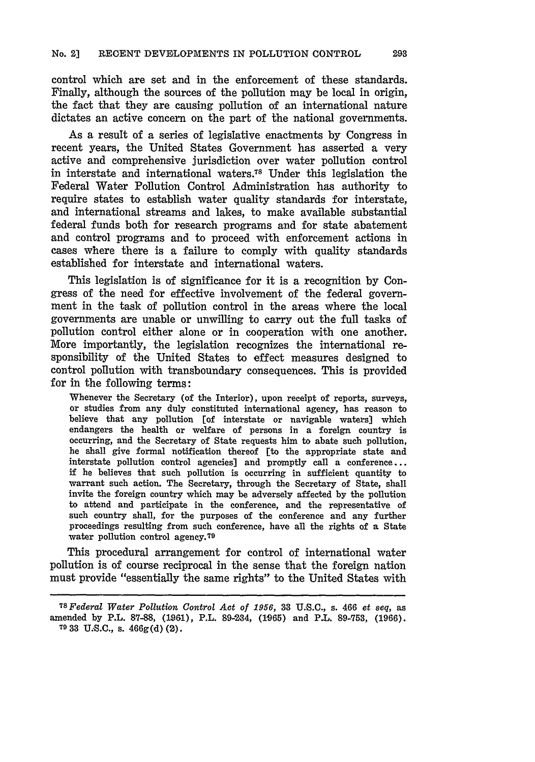control which are set and in the enforcement of these standards. Finally, although the sources of the pollution may be local in origin, the fact that they are causing pollution of an international nature dictates an active concern on the part of the national governments.

As a result of a series of legislative enactments **by** Congress in recent years, the United States Government has asserted a very active and comprehensive jurisdiction over water pollution control in interstate and international waters.78 Under this legislation the Federal Water Pollution Control Administration has authority to require states to establish water quality standards for interstate, and international streams and lakes, to make available substantial federal funds both for research programs and for state abatement and control programs and to proceed with enforcement actions in cases where there is a failure to comply with quality standards established for interstate and international waters.

This legislation is of significance for it is a recognition **by** Congress of the need for effective involvement of the federal government in the task of pollution control in the areas where the local governments are unable or unwilling to carry out the full tasks of pollution control either alone or in cooperation with one another. More importantly, the legislation recognizes the international responsibility of the United States to effect measures designed to control pollution with transboundary consequences. This is provided for in the following terms:

Whenever the Secretary (of the Interior), upon receipt of reports, surveys, or studies from any duly constituted international agency, has reason to believe that any pollution [of interstate or navigable waters] which endangers the health or welfare of persons in a foreign country is occurring, and the Secretary of State requests him to abate such pollution, he shall give formal notification thereof **[to** the appropriate state and interstate pollution control agencies] and promptly call a conference... if he believes that such pollution is occurring in sufficient quantity to warrant such action. The Secretary, through the Secretary of State, shall invite the foreign country which may be adversely affected **by** the pollution to attend and participate in the conference, and the representative of such country shall, for the purposes of the conference and any further proceedings resulting from such conference, have all the rights of a State water pollution control agency. <sup>79</sup>

This procedural arrangement for control of international water pollution is of course reciprocal in the sense that the foreign nation must provide "essentially the same rights" to the United States with

*<sup>78</sup> Federal Water Pollution Control Act of 1956,* **3 U.S.C.,** s. *466 et seq,* as amended by P.L. **87-88, (1961),** P.L. 89-234, (1965) and P.L. **89-753,** (1966). **79 3** U.S.C., s. **466g(d)** (2).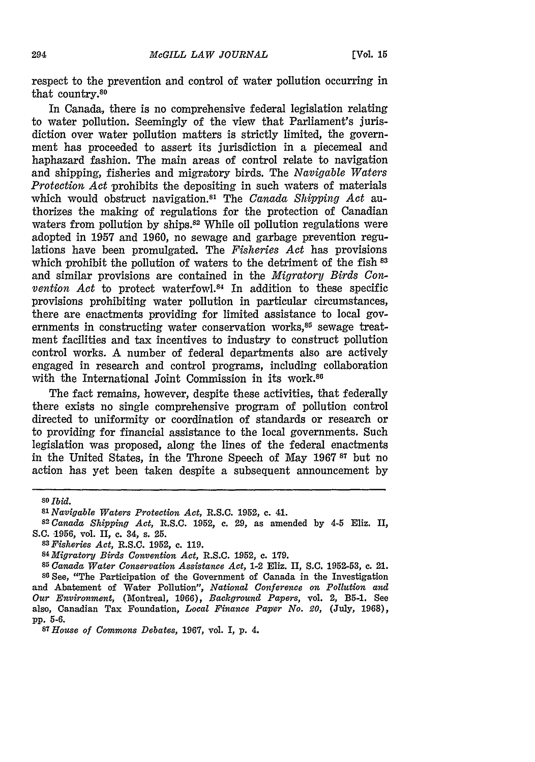respect to the prevention and control of water pollution occurring in that country. <sup>80</sup>

In Canada, there is no comprehensive federal legislation relating to water pollution. Seemingly of the view that Parliament's jurisdiction over water pollution matters is strictly limited, the government has proceeded to assert its jurisdiction in a piecemeal and haphazard fashion. The main areas of control relate to navigation and shipping, fisheries and migratory birds. The *Navigable Waters Protection Act* prohibits the depositing in such waters of materials which would obstruct navigation.81 The *Canada Shipping Act* authorizes the making of regulations for the protection of Canadian waters from pollution by ships.<sup>82</sup> While oil pollution regulations were adopted in 1957 and 1960, no sewage and garbage prevention regulations have been promulgated. The *Fisheries Act* has provisions which prohibit the pollution of waters to the detriment of the fish **<sup>83</sup>** and similar provisions are contained in the *Migratory Birds Convention Act* to protect waterfowl.<sup>84</sup> In addition to these specific provisions prohibiting water pollution in particular circumstances, there are enactments providing for limited assistance to local governments in constructing water conservation works,<sup>85</sup> sewage treatment facilities and tax incentives to industry to construct pollution control works. A number of federal departments also are actively engaged in research and control programs, including collaboration with the International Joint Commission in its work.<sup>86</sup>

The fact remains, however, despite these activities, that federally there exists no single comprehensive program of pollution control directed to uniformity or coordination of standards or research or to providing for financial assistance to the local governments. Such legislation was proposed, along the lines of the federal enactments in the United States, in the Throne Speech of May 1967 **87** but no action has yet been taken despite a subsequent announcement by

*<sup>80</sup>Ibid.*

*S Migratory Birds Convention Act,* R.S.C. 1952, c. 179.

*8-5 Canada Water Conservation Assistance Act,* 1-2 Eliz. II, S.C. 1952-53, c. **21. <sup>86</sup>**See, "The Participation of the Government of Canada in the Investigation and Abatement of Water Pollution", *National Conference on Pollution and Our Environment,* (Montreal, 1966), *Background Papers,* vol. 2, B5-1. See also, Canadian Tax Foundation, *Local Finance Paper No. 20,* (July, 1968), pp. 5-6.

*<sup>81</sup>Navigable Waters Protection Act,* R.S.C. 1952, c. 41.

**<sup>82</sup>***Canada Shipping Act,* R.S.C. 1952, c. 29, as amended by 4-5 Eliz. II, S.C. 1956, vol. II, c. 34, s. 25.

*<sup>83</sup>Fisheries Act,* R.S.C. 1952, c. 119.

*<sup>8</sup>THouse of Commons Debates,* 1967, vol. I, p. 4.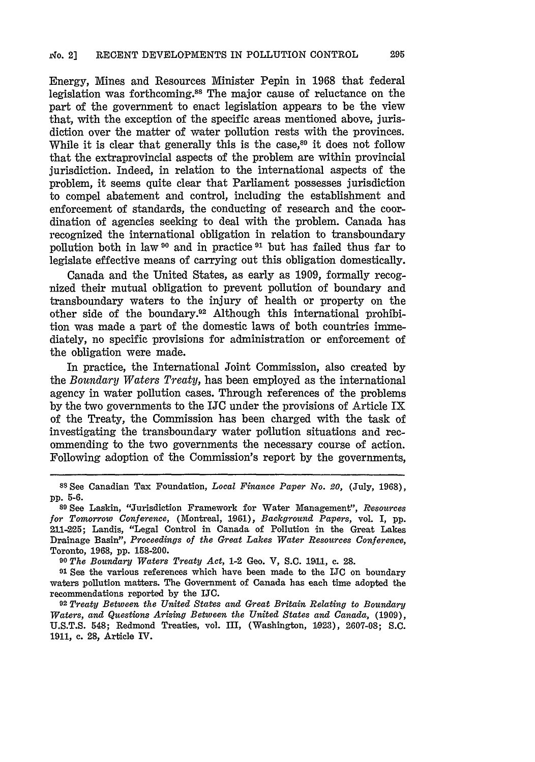Energy, Mines and Resources Minister Pepin in 1968 that federal legislation was forthcoming.<sup>88</sup> The major cause of reluctance on the part of the government to enact legislation appears to be the view that, with the exception of the specific areas mentioned above, jurisdiction over the matter of water pollution rests with the provinces. While it is clear that generally this is the case,<sup>89</sup> it does not follow that the extraprovincial aspects of the problem are within provincial jurisdiction. Indeed, in relation to the international aspects of the problem, it seems quite clear that Parliament possesses jurisdiction to compel abatement and control, including the establishment and enforcement of standards, the conducting of research and the coordination of agencies seeking to deal with the problem. Canada has recognized the international obligation in relation to transboundary pollution both in law  $50^{\circ}$  and in practice  $5^{\circ}$  but has failed thus far to legislate effective means of carrying out this obligation domestically.

Canada and the United States, as early as 1909, formally recognized their mutual obligation to prevent pollution of boundary and transboundary waters to the injury of health or property on the other side of the boundary.9 2 Although this international prohibition was made a part of the domestic laws of both countries innediately, no specific provisions for administration or enforcement of the obligation were made.

In practice, the International Joint Commission, also created by the *Boundary Waters Treaty,* has been employed as the international agency in water pollution cases. Through references of the problems by the two governments to the IJC under the provisions of Article IX of the Treaty, the Commission has been charged with the task of investigating the transboundary water pollution situations and recommending to the two governments the necessary course of action. Following adoption of the Commission's report by the governments,

*<sup>90</sup>The Boundary Waters Treaty Act,* 1-2 Geo. V, S.C. 1911, c. 28.

**<sup>91</sup>**See the various references which have been made to the IJC on boundary waters pollution matters. The Government of Canada has each time adopted the recommendations reported by the IJC.

<sup>92</sup>*Treaty Between the United States and Great Britain Relating to Boundary Waters, and Questions Arising Between the United States and Canada,* (1909), U.S.T.S. 548; Redmond Treaties, vol. III, (Washington, 19923), 2607-08; S.C. 1911, c. 28, Article IV.

sSee Canadian Tax Foundation, *Local Finance Paper No. 20,* (July, 1968), **pp.** 5-6.

**<sup>89</sup>**See Laskin, "Jurisdiction Framework for Water Management", *Resources for Tomorrow Conference,* (Montreal, 1061), *Background Papers,* vol. I, pp. 211-225; Landis, "Legal Control in Canada of Pollution in the Great Lakes Drainage Basin", *Proceedings of the Great Lakes Water Resources Conference,* Toronto, 1968, pp. 158-200.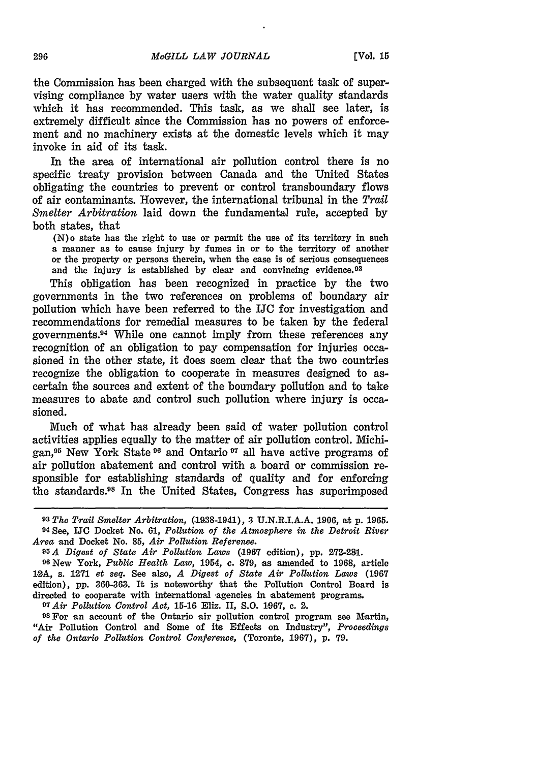the Conmission has been charged with the subsequent task of supervising compliance by water users with the water quality standards which it has recommended. This task, as we shall see later, is extremely difficult since the Commission has no powers of enforcement and no machinery exists at the domestic levels which it may invoke in aid of its task.

In the area of international air pollution control there is no specific treaty provision between Canada and the United States obligating the countries to prevent or control transboundary flows of air contaminants. However, the international tribunal in the *Trail Smelter Arbitration* laid down the fundamental rule, accepted by both states, that

**(N)** o state has the right to use or permit the use of its territory in such a manner as to cause injury **by** fumes in or to the territory of another or the property or persons therein, when the case is of serious consequences and the injury is established **by** clear and convincing evidence. <sup>93</sup>

This obligation has been recognized in practice **by** the two governments in the two references on problems of boundary air pollution which have been referred to the **IJC** for investigation and recommendations for remedial measures to be taken **by** the federal governments. 94 While one cannot imply from these references any recognition of an obligation to pay compensation for injuries occasioned in the other state, it does seem clear that the two countries recognize the obligation to cooperate in measures designed to ascertain the sources and extent of the boundary pollution and to take measures to abate and control such pollution where injury is occasioned.

Much of what has already been said of water pollution control activities applies equally to the matter of air pollution control. Michigan,<sup>95</sup> New York State  $96$  and Ontario  $97$  all have active programs of air pollution abatement and control with a board or commission responsible for establishing standards of quality and for enforcing the standards.98 In the United States, Congress has superimposed

**<sup>93</sup>***The Trail Smelter Arbitration,* (.198-1941), **3** U.N.R.I.A.A. 1906, at p. 1965. **<sup>94</sup>**See, IJC Docket No. **61,** *Pollution of the Atmosphere in the Detroit River Area* and Docket No. **85,** *Air Pollution Reference.*

**<sup>95</sup>***A Digest of State Air Pollution Laws* **(1967** edition), **pp. 272-2&1.**

**<sup>96</sup>**New York, *Public Health Law,* 1954, c. 879, as amended to 1968, article **12A,** s. **1271** *et seq.* See also, *A Digest of State Air Pollution Laws* **(1967** edition), pp. **360-363.** It is noteworthy that the Pollution Control Board is directed to cooperate with international agencies in abatement programs. *9TAir Pollution Control Act,* 15-16 Eliz. II, S.O. **1067,** c. 2.

98For an account of the Ontario air pollution control program see Martin, "Air Pollution Control and Some of its Effects on Industry", *Proceedings of the Ontario Pollution Control Conference,* (Toronto, **1967), p. 79.**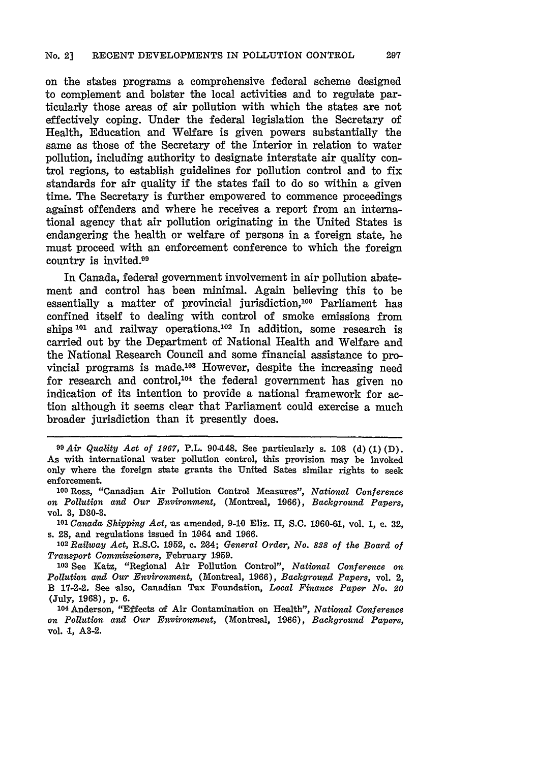on the states programs a comprehensive federal scheme designed to complement and bolster the local activities and to regulate particularly those areas of air pollution with which the states are not effectively coping. Under the federal legislation the Secretary of Health, Education and Welfare is given powers substantially the same as those of the Secretary of the Interior in relation to water pollution, including authority to designate interstate air quality control regions, to establish guidelines for pollution control and to fix standards for air quality if the states fail to do so within a given time. The Secretary is further empowered to commence proceedings against offenders and where he receives a report from an international agency that air pollution originating in the United States is endangering the health or welfare of persons in a foreign state, he must proceed with an enforcement conference to which the foreign country is invited.99

In Canada, federal government involvement in air pollution abatement and control has been minimal. Again believing this to be essentially a matter of provincial jurisdiction,<sup>100</sup> Parliament has confined itself to dealing with control of smoke emissions from ships <sup>101</sup> and railway operations.<sup>102</sup> In addition, some research is carried out by the Department of National Health and Welfare and the National Research Council and some financial assistance to provincial programs is made.<sup>103</sup> However, despite the increasing need for research and control,<sup>104</sup> the federal government has given no indication of its intention to provide a national framework for action although it seems clear that Parliament could exercise a much broader jurisdiction than it presently does.

**<sup>101</sup>***Canada Shipping Act, as* amended, **9-10** Eliz. II, S.C. **1860-61,** vol. **1,** c. 32, s. 28, and regulations issued in 1964 and 1966.

*<sup>102</sup>Railway Act,* R.S.C. 1052, c. 234; *General Order, No. 838 of the Board of Transport Commissioners,* February **1959.**

**<sup>103</sup>**See Katz, "Regional Air Pollution Control", *National Conference on Pollution and Our Environment,* (Montreal, 1966), *Background Papers,* vol. 2, B 17-2-2. See also, Canadian Tax Foundation, *Local Finance Paper No. 20* (July, 1968), p. 6.

104 Anderson, "Effects of Air Contamination on Health", *National Conference on Pollution and Our Environment,* (Montreal, 1966), *Background Papers,* vol. **1,** A3-2.

*<sup>99</sup>Air Quality Act of 1967,* P.L. 904148. See particularly s. 108 (d) (1) (D). As with international water pollution control, this provision may be invoked only where the foreign state grants the United Sates similar rights to seek enforcement.

<sup>100</sup>Ross, "Canadian Air Pollution Control Measures", *National Conference on Pollution and Our Environment,* (Montreal, 1966), *Background Papers,* vol. **3, D30-3.**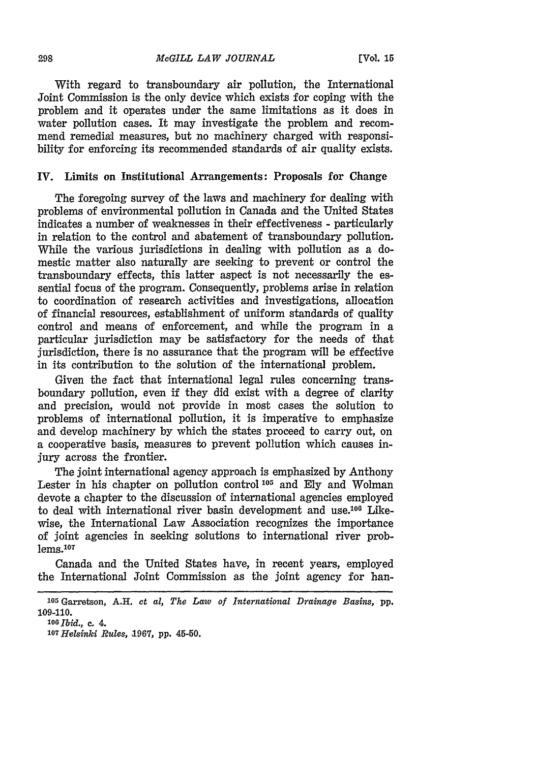With regard to transboundary air pollution, the International Joint Commission is the only device which exists for coping with the problem and it operates under the same limitations as it does in water pollution cases. It may investigate the problem and recommend remedial measures, but no machinery charged with responsibility for enforcing its recommended standards of air quality exists.

# IV. Limits on Institutional Arrangements: Proposals for Change

The foregoing survey of the laws and machinery for dealing with problems of environmental pollution in Canada and the United States indicates a number of weaknesses in their effectiveness - particularly in relation to the control and abatement of transboundary pollution. While the various jurisdictions in dealing with pollution as a domestic matter also naturally are seeking to prevent or control the transboundary effects, this latter aspect is not necessarily the essential focus of the program. Consequently, problems arise in relation to coordination of research activities and investigations, allocation of financial resources, establishment of uniform standards of quality control and means of enforcement, and while the program in a particular jurisdiction may be satisfactory for the needs of that jurisdiction, there is no assurance that the program will be effective in its contribution to the solution of the international problem.

Given the fact that international legal rules concerning transboundary pollution, even if they did exist with a degree of clarity and precision, would not provide in most cases the solution to problems of international pollution, it is imperative to emphasize and develop machinery by which the states proceed to carry out, on a cooperative basis, measures to prevent pollution which causes injury across the frontier.

The joint international agency approach is emphasized by Anthony Lester in his chapter on pollution control **105** and Ely and Wolman devote a chapter to the discussion of international agencies employed to deal with international river basin development and use.<sup>106</sup> Likewise, the International Law Association recognizes the importance of joint agencies in seeking solutions to international river prob $lems.<sup>107</sup>$ 

Canada and the United States have, in recent years, employed the International Joint Commission as the joint agency for han-

**<sup>100</sup>***Ibid., c.* 4. *<sup>1</sup>*

**<sup>105</sup>**Garretson, **A.H.** *et al, The Law of International Drainage Basins,* **pp.** 109-110.

*<sup>07</sup> Helsinki Rules,* **1967, pp.** 45-50.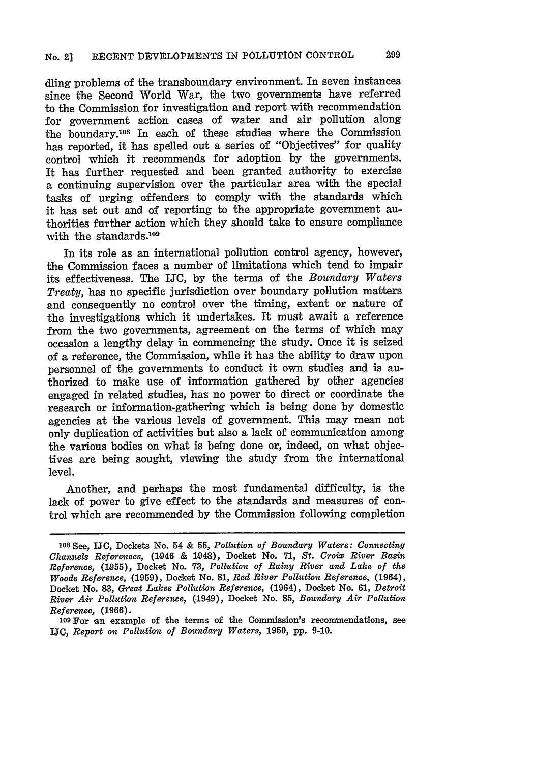dling problems of the transboundary environment. In seven instances since the Second World War, the two governments have referred to the Commission for investigation and report with recommendation for government action cases of water and air pollution along the boundary.<sup>108</sup> In each of these studies where the Commission has reported, it has spelled out a series of "Objectives" for quality control which it recommends for adoption by the governments. It has further requested and been granted authority to exercise a continuing supervision over the particular area with the special tasks of urging offenders to comply with the standards which it has set out and of reporting to the appropriate government authorities further action which they should take to ensure compliance with the standards.<sup>109</sup>

In its role as an international pollution control agency, however, the Commission faces a number of limitations which tend to impair its effectiveness. The IJC, by the terms of the *Boundary Waters Treaty,* has no specific jurisdiction over boundary pollution matters and consequently no control over the timing, extent or nature of the investigations which it undertakes. It must await a reference from the two governments, agreement on the terms of which may occasion a lengthy delay in commencing the study. Once it is seized of a reference, the Commission, while it has the ability to draw upon personnel of the governments to conduct it own studies and is authorized to make use of information gathered by other agencies engaged in related studies, has no power to direct or coordinate the research or information-gathering which is being done by domestic agencies at the various levels of government. This may mean not only duplication of activities but also a lack of communication among the various bodies on what is being done or, indeed, on what objectives are being sought, viewing the study from the international level.

Another, and perhaps the most fundamental difficulty, is the lack of power to give effect to the standards and measures of control which are recommended by the Commission following completion

**<sup>109</sup>**For an example of the terms of the Commission's recommendations, see IJO, *Report on Pollution of Boundary Waters,* 1950, pp. 9-10.

**<sup>108</sup>**See, IJC, Dockets No. 54 & **55,** *Pollution of Boundary Waters: Connecting Channels References,* (1946 & 1148), Docket No. 71, *St. Croix River Basin Reference,* **(1955),** Docket No. **73,** *Pollution of Rainy River and Lake of the Woods Reference,* (1959), Docket No. 81, *Red River Pollution Reference,* (1964), Docket No. 83, *Great Lakes Pollution Reference,* (1964), Docket No. 61, *Detroit River Air Pollution Reference,* (1949), Docket No. **85,** *Boundary Air Pollution Reference,* (1966).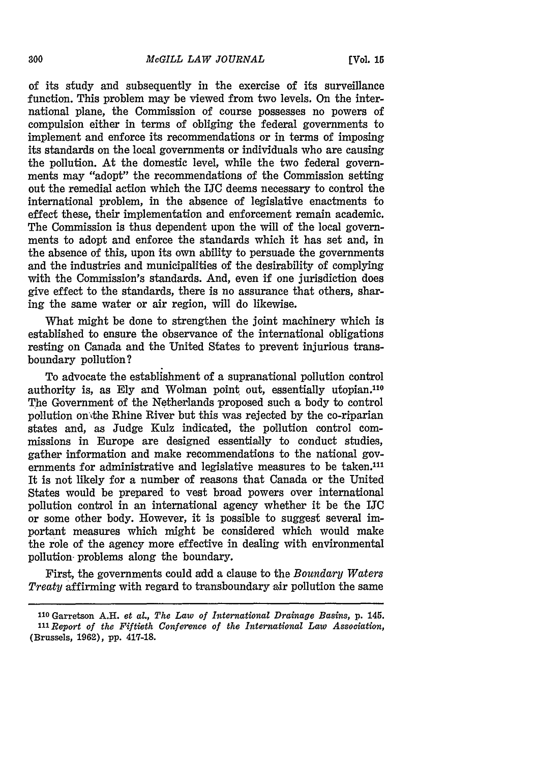of its study and subsequently in the exercise of its surveillance function. This problem may be viewed from two levels. On the international plane, the Commission of course possesses no powers of compulsion either in terms of obliging the federal governments to implement and enforce its recommendations or in terms of imposing its standards on the local governments or individuals who are causing the pollution. At the domestic level, while the two federal governments may "adopt" the recommendations of the Commission setting out the remedial action which the IJC deems necessary to control the international problem, in the absence of legislative enactments to effect these, their implementation and enforcement remain academic. The Commission is thus dependent upon the will of the local governments to adopt and enforce the standards which it has set and, in the absence of this, upon its own ability to persuade the governments and the industries and municipalities of the desirability of complying with the Commission's standards. And, even if one jurisdiction does give effect to the standards, there is no assurance that others, sharing the same water or air region, will do likewise.

What might be done to strengthen the joint machinery which is established to ensure the observance of the international obligations resting on Canada and the United States to prevent injurious transboundary pollution?

To advocate the establishment of a supranational pollution control authority is, as Ely and Wolman point out, essentially utopian.110 The Government of the Netherlands proposed such a body to control pollution onthe Rhine River but this was rejected by the co-riparian states and, as Judge Kulz indicated, the pollution control commissions in Europe are designed essentiadly to conduct studies, gather information and make recommendations to the national governments for administrative and legislative measures to be taken.<sup>111</sup> It is not likely for a number of reasons that Canada or the United States would be prepared to vest broad powers over international pollution control in an international agency whether it be the IJC or some other body. However, it is possible to suggest several important measures which might be considered which would make the role of the agency more effective in dealing with environmental pollution- problems along the boundary.

First, the governments could add a clause to the *Boundary Waters Treaty* affirming with regard to transboundary air pollution the same

**<sup>110</sup> Garretson A.H.** et *al., The Law of International Drainage Basins,* p. 145. *11i Report of the Fiftieth Conference of the International Law Association,* (Brussels, 1962), pp. **417-18.**